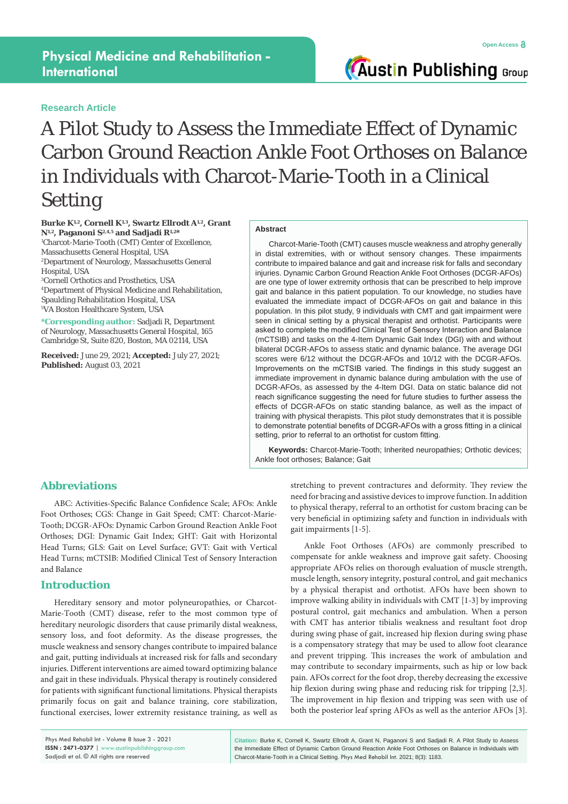## **Physical Medicine and Rehabilitation - International**

#### **Research Article**

**Austin Publishing Group** 

# A Pilot Study to Assess the Immediate Effect of Dynamic Carbon Ground Reaction Ankle Foot Orthoses on Balance in Individuals with Charcot-Marie-Tooth in a Clinical Setting

#### **Burke K1,2, Cornell K1,3, Swartz Ellrodt A1,2, Grant N1,2, Paganoni S2,4,5 and Sadjadi R1,2\***

1 Charcot-Marie-Tooth (CMT) Center of Excellence, Massachusetts General Hospital, USA 2 Department of Neurology, Massachusetts General Hospital, USA

 Cornell Orthotics and Prosthetics, USA Department of Physical Medicine and Rehabilitation, Spaulding Rehabilitation Hospital, USA VA Boston Healthcare System, USA

**\*Corresponding author:** Sadjadi R, Department of Neurology, Massachusetts General Hospital, 165 Cambridge St, Suite 820, Boston, MA 02114, USA

**Received:** June 29, 2021; **Accepted:** July 27, 2021; **Published:** August 03, 2021

#### **Abstract**

Charcot-Marie-Tooth (CMT) causes muscle weakness and atrophy generally in distal extremities, with or without sensory changes. These impairments contribute to impaired balance and gait and increase risk for falls and secondary injuries. Dynamic Carbon Ground Reaction Ankle Foot Orthoses (DCGR-AFOs) are one type of lower extremity orthosis that can be prescribed to help improve gait and balance in this patient population. To our knowledge, no studies have evaluated the immediate impact of DCGR-AFOs on gait and balance in this population. In this pilot study, 9 individuals with CMT and gait impairment were seen in clinical setting by a physical therapist and orthotist. Participants were asked to complete the modified Clinical Test of Sensory Interaction and Balance (mCTSIB) and tasks on the 4-Item Dynamic Gait Index (DGI) with and without bilateral DCGR-AFOs to assess static and dynamic balance. The average DGI scores were 6/12 without the DCGR-AFOs and 10/12 with the DCGR-AFOs. Improvements on the mCTSIB varied. The findings in this study suggest an immediate improvement in dynamic balance during ambulation with the use of DCGR-AFOs, as assessed by the 4-Item DGI. Data on static balance did not reach significance suggesting the need for future studies to further assess the effects of DCGR-AFOs on static standing balance, as well as the impact of training with physical therapists. This pilot study demonstrates that it is possible to demonstrate potential benefits of DCGR-AFOs with a gross fitting in a clinical setting, prior to referral to an orthotist for custom fitting.

**Keywords:** Charcot-Marie-Tooth; Inherited neuropathies; Orthotic devices; Ankle foot orthoses; Balance; Gait

### **Abbreviations**

ABC: Activities-Specific Balance Confidence Scale; AFOs: Ankle Foot Orthoses; CGS: Change in Gait Speed; CMT: Charcot-Marie-Tooth; DCGR-AFOs: Dynamic Carbon Ground Reaction Ankle Foot Orthoses; DGI: Dynamic Gait Index; GHT: Gait with Horizontal Head Turns; GLS: Gait on Level Surface; GVT: Gait with Vertical Head Turns; mCTSIB: Modified Clinical Test of Sensory Interaction and Balance

#### **Introduction**

Hereditary sensory and motor polyneuropathies, or Charcot-Marie-Tooth (CMT) disease, refer to the most common type of hereditary neurologic disorders that cause primarily distal weakness, sensory loss, and foot deformity. As the disease progresses, the muscle weakness and sensory changes contribute to impaired balance and gait, putting individuals at increased risk for falls and secondary injuries. Different interventions are aimed toward optimizing balance and gait in these individuals. Physical therapy is routinely considered for patients with significant functional limitations. Physical therapists primarily focus on gait and balance training, core stabilization, functional exercises, lower extremity resistance training, as well as stretching to prevent contractures and deformity. They review the need for bracing and assistive devices to improve function. In addition to physical therapy, referral to an orthotist for custom bracing can be very beneficial in optimizing safety and function in individuals with gait impairments [1-5].

Ankle Foot Orthoses (AFOs) are commonly prescribed to compensate for ankle weakness and improve gait safety. Choosing appropriate AFOs relies on thorough evaluation of muscle strength, muscle length, sensory integrity, postural control, and gait mechanics by a physical therapist and orthotist. AFOs have been shown to improve walking ability in individuals with CMT [1-3] by improving postural control, gait mechanics and ambulation. When a person with CMT has anterior tibialis weakness and resultant foot drop during swing phase of gait, increased hip flexion during swing phase is a compensatory strategy that may be used to allow foot clearance and prevent tripping. This increases the work of ambulation and may contribute to secondary impairments, such as hip or low back pain. AFOs correct for the foot drop, thereby decreasing the excessive hip flexion during swing phase and reducing risk for tripping [2,3]. The improvement in hip flexion and tripping was seen with use of both the posterior leaf spring AFOs as well as the anterior AFOs [3].

Phys Med Rehabil Int - Volume 8 Issue 3 - 2021 **ISSN : 2471-0377** | www.austinpublishinggroup.com Sadiadi et al. © All rights are reserved

**Citation:** Burke K, Cornell K, Swartz Ellrodt A, Grant N, Paganoni S and Sadjadi R. A Pilot Study to Assess the Immediate Effect of Dynamic Carbon Ground Reaction Ankle Foot Orthoses on Balance in Individuals with Charcot-Marie-Tooth in a Clinical Setting. Phys Med Rehabil Int. 2021; 8(3): 1183.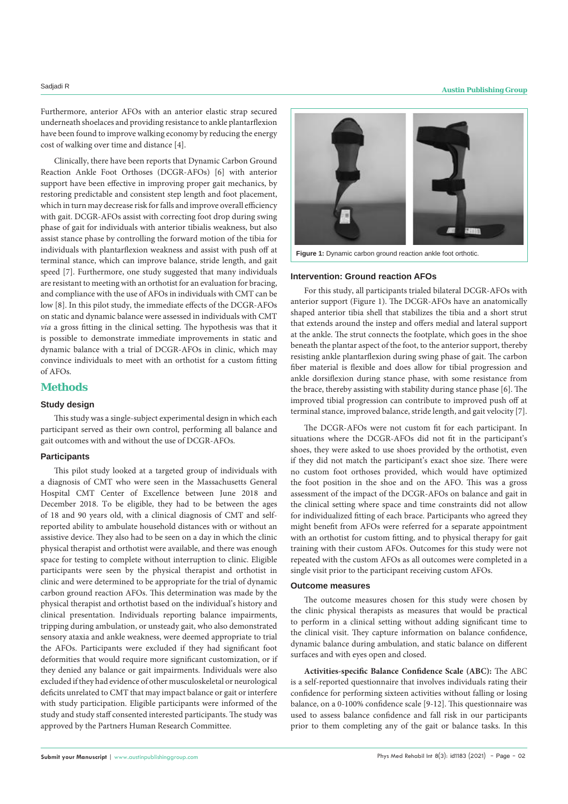Furthermore, anterior AFOs with an anterior elastic strap secured underneath shoelaces and providing resistance to ankle plantarflexion have been found to improve walking economy by reducing the energy cost of walking over time and distance [4].

Clinically, there have been reports that Dynamic Carbon Ground Reaction Ankle Foot Orthoses (DCGR-AFOs) [6] with anterior support have been effective in improving proper gait mechanics, by restoring predictable and consistent step length and foot placement, which in turn may decrease risk for falls and improve overall efficiency with gait. DCGR-AFOs assist with correcting foot drop during swing phase of gait for individuals with anterior tibialis weakness, but also assist stance phase by controlling the forward motion of the tibia for individuals with plantarflexion weakness and assist with push off at terminal stance, which can improve balance, stride length, and gait speed [7]. Furthermore, one study suggested that many individuals are resistant to meeting with an orthotist for an evaluation for bracing, and compliance with the use of AFOs in individuals with CMT can be low [8]. In this pilot study, the immediate effects of the DCGR-AFOs on static and dynamic balance were assessed in individuals with CMT *via* a gross fitting in the clinical setting. The hypothesis was that it is possible to demonstrate immediate improvements in static and dynamic balance with a trial of DCGR-AFOs in clinic, which may convince individuals to meet with an orthotist for a custom fitting of AFOs.

#### **Methods**

#### **Study design**

This study was a single-subject experimental design in which each participant served as their own control, performing all balance and gait outcomes with and without the use of DCGR-AFOs.

#### **Participants**

This pilot study looked at a targeted group of individuals with a diagnosis of CMT who were seen in the Massachusetts General Hospital CMT Center of Excellence between June 2018 and December 2018. To be eligible, they had to be between the ages of 18 and 90 years old, with a clinical diagnosis of CMT and selfreported ability to ambulate household distances with or without an assistive device. They also had to be seen on a day in which the clinic physical therapist and orthotist were available, and there was enough space for testing to complete without interruption to clinic. Eligible participants were seen by the physical therapist and orthotist in clinic and were determined to be appropriate for the trial of dynamic carbon ground reaction AFOs. This determination was made by the physical therapist and orthotist based on the individual's history and clinical presentation. Individuals reporting balance impairments, tripping during ambulation, or unsteady gait, who also demonstrated sensory ataxia and ankle weakness, were deemed appropriate to trial the AFOs. Participants were excluded if they had significant foot deformities that would require more significant customization, or if they denied any balance or gait impairments. Individuals were also excluded if they had evidence of other musculoskeletal or neurological deficits unrelated to CMT that may impact balance or gait or interfere with study participation. Eligible participants were informed of the study and study staff consented interested participants. The study was approved by the Partners Human Research Committee.



**Figure 1:** Dynamic carbon ground reaction ankle foot orthotic.

#### **Intervention: Ground reaction AFOs**

For this study, all participants trialed bilateral DCGR-AFOs with anterior support (Figure 1). The DCGR-AFOs have an anatomically shaped anterior tibia shell that stabilizes the tibia and a short strut that extends around the instep and offers medial and lateral support at the ankle. The strut connects the footplate, which goes in the shoe beneath the plantar aspect of the foot, to the anterior support, thereby resisting ankle plantarflexion during swing phase of gait. The carbon fiber material is flexible and does allow for tibial progression and ankle dorsiflexion during stance phase, with some resistance from the brace, thereby assisting with stability during stance phase [6]. The improved tibial progression can contribute to improved push off at terminal stance, improved balance, stride length, and gait velocity [7].

The DCGR-AFOs were not custom fit for each participant. In situations where the DCGR-AFOs did not fit in the participant's shoes, they were asked to use shoes provided by the orthotist, even if they did not match the participant's exact shoe size. There were no custom foot orthoses provided, which would have optimized the foot position in the shoe and on the AFO. This was a gross assessment of the impact of the DCGR-AFOs on balance and gait in the clinical setting where space and time constraints did not allow for individualized fitting of each brace. Participants who agreed they might benefit from AFOs were referred for a separate appointment with an orthotist for custom fitting, and to physical therapy for gait training with their custom AFOs. Outcomes for this study were not repeated with the custom AFOs as all outcomes were completed in a single visit prior to the participant receiving custom AFOs.

#### **Outcome measures**

The outcome measures chosen for this study were chosen by the clinic physical therapists as measures that would be practical to perform in a clinical setting without adding significant time to the clinical visit. They capture information on balance confidence, dynamic balance during ambulation, and static balance on different surfaces and with eyes open and closed.

**Activities-specific Balance Confidence Scale (ABC):** The ABC is a self-reported questionnaire that involves individuals rating their confidence for performing sixteen activities without falling or losing balance, on a 0-100% confidence scale [9-12]. This questionnaire was used to assess balance confidence and fall risk in our participants prior to them completing any of the gait or balance tasks. In this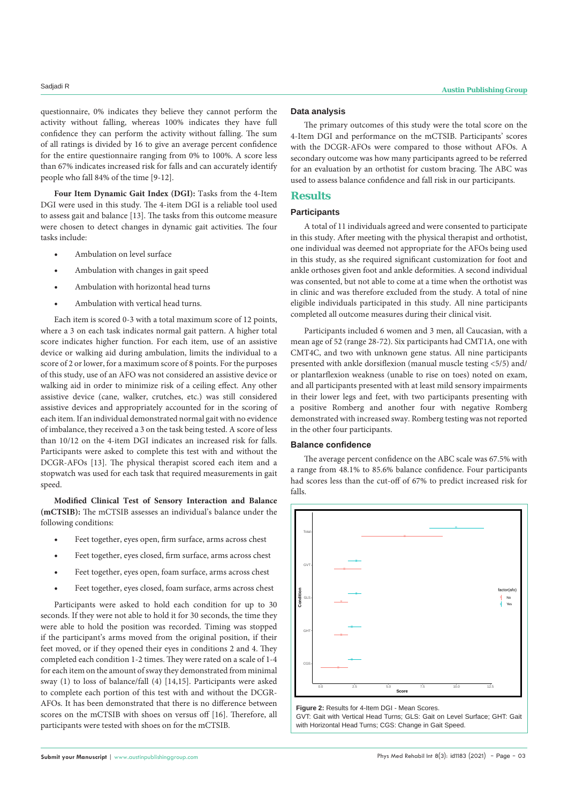questionnaire, 0% indicates they believe they cannot perform the activity without falling, whereas 100% indicates they have full confidence they can perform the activity without falling. The sum of all ratings is divided by 16 to give an average percent confidence for the entire questionnaire ranging from 0% to 100%. A score less than 67% indicates increased risk for falls and can accurately identify people who fall 84% of the time [9-12].

**Four Item Dynamic Gait Index (DGI):** Tasks from the 4-Item DGI were used in this study. The 4-item DGI is a reliable tool used to assess gait and balance [13]. The tasks from this outcome measure were chosen to detect changes in dynamic gait activities. The four tasks include:

- Ambulation on level surface
- Ambulation with changes in gait speed
- Ambulation with horizontal head turns
- Ambulation with vertical head turns.

Each item is scored 0-3 with a total maximum score of 12 points, where a 3 on each task indicates normal gait pattern. A higher total score indicates higher function. For each item, use of an assistive device or walking aid during ambulation, limits the individual to a score of 2 or lower, for a maximum score of 8 points. For the purposes of this study, use of an AFO was not considered an assistive device or walking aid in order to minimize risk of a ceiling effect. Any other assistive device (cane, walker, crutches, etc.) was still considered assistive devices and appropriately accounted for in the scoring of each item. If an individual demonstrated normal gait with no evidence of imbalance, they received a 3 on the task being tested. A score of less than 10/12 on the 4-item DGI indicates an increased risk for falls. Participants were asked to complete this test with and without the DCGR-AFOs [13]. The physical therapist scored each item and a stopwatch was used for each task that required measurements in gait speed.

**Modified Clinical Test of Sensory Interaction and Balance (mCTSIB):** The mCTSIB assesses an individual's balance under the following conditions:

- Feet together, eyes open, firm surface, arms across chest
- Feet together, eyes closed, firm surface, arms across chest
- Feet together, eyes open, foam surface, arms across chest
- Feet together, eyes closed, foam surface, arms across chest

Participants were asked to hold each condition for up to 30 seconds. If they were not able to hold it for 30 seconds, the time they were able to hold the position was recorded. Timing was stopped if the participant's arms moved from the original position, if their feet moved, or if they opened their eyes in conditions 2 and 4. They completed each condition 1-2 times. They were rated on a scale of 1-4 for each item on the amount of sway they demonstrated from minimal sway (1) to loss of balance/fall (4) [14,15]. Participants were asked to complete each portion of this test with and without the DCGR-AFOs. It has been demonstrated that there is no difference between scores on the mCTSIB with shoes on versus off [16]. Therefore, all participants were tested with shoes on for the mCTSIB.

#### **Data analysis**

The primary outcomes of this study were the total score on the 4-Item DGI and performance on the mCTSIB. Participants' scores with the DCGR-AFOs were compared to those without AFOs. A secondary outcome was how many participants agreed to be referred for an evaluation by an orthotist for custom bracing. The ABC was used to assess balance confidence and fall risk in our participants.

#### **Results**

#### **Participants**

A total of 11 individuals agreed and were consented to participate in this study. After meeting with the physical therapist and orthotist, one individual was deemed not appropriate for the AFOs being used in this study, as she required significant customization for foot and ankle orthoses given foot and ankle deformities. A second individual was consented, but not able to come at a time when the orthotist was in clinic and was therefore excluded from the study. A total of nine eligible individuals participated in this study. All nine participants completed all outcome measures during their clinical visit.

Participants included 6 women and 3 men, all Caucasian, with a mean age of 52 (range 28-72). Six participants had CMT1A, one with CMT4C, and two with unknown gene status. All nine participants presented with ankle dorsiflexion (manual muscle testing <5/5) and/ or plantarflexion weakness (unable to rise on toes) noted on exam, and all participants presented with at least mild sensory impairments in their lower legs and feet, with two participants presenting with a positive Romberg and another four with negative Romberg demonstrated with increased sway. Romberg testing was not reported in the other four participants.

#### **Balance confidence**

The average percent confidence on the ABC scale was 67.5% with a range from 48.1% to 85.6% balance confidence. Four participants had scores less than the cut-off of 67% to predict increased risk for falls.



**Figure 2:** Results for 4-Item DGI - Mean Scores. GVT: Gait with Vertical Head Turns; GLS: Gait on Level Surface; GHT: Gait with Horizontal Head Turns; CGS: Change in Gait Speed.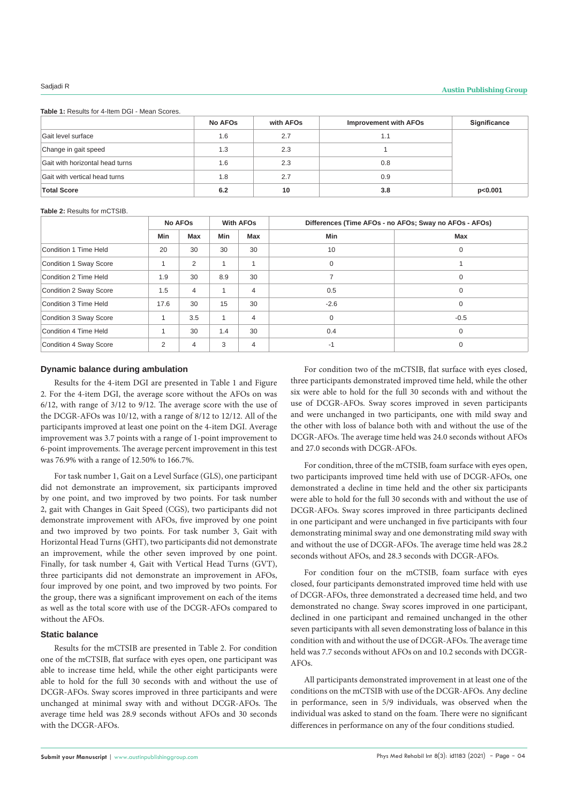### Sadjadi R **Austin Publishing Group**

**Table 1:** Results for 4-Item DGI - Mean Scores.

|                                 | <b>No AFOs</b> | with AFOs | <b>Improvement with AFOs</b> | Significance |
|---------------------------------|----------------|-----------|------------------------------|--------------|
| Gait level surface              | 1.6            | 2.7       | 1.1                          |              |
| Change in gait speed            | 1.3            | 2.3       |                              |              |
| Gait with horizontal head turns | 1.6            | 2.3       | 0.8                          |              |
| Gait with vertical head turns   | 1.8            | 2.7       | 0.9                          |              |
| <b>Total Score</b>              | 6.2            | 10        | 3.8                          | p<0.001      |

#### **Table 2:** Results for mCTSIB.

|                        |      | <b>No AFOs</b> |              | <b>With AFOs</b> | Differences (Time AFOs - no AFOs; Sway no AFOs - AFOs) |        |  |
|------------------------|------|----------------|--------------|------------------|--------------------------------------------------------|--------|--|
|                        | Min  | Max            | <b>Min</b>   | Max              | Min                                                    | Max    |  |
| Condition 1 Time Held  | 20   | 30             | 30           | 30               | 10                                                     | 0      |  |
| Condition 1 Sway Score |      | 2              | 1            |                  | $\mathbf 0$                                            |        |  |
| Condition 2 Time Held  | 1.9  | 30             | 8.9          | 30               | $\overline{ }$                                         | 0      |  |
| Condition 2 Sway Score | 1.5  | $\overline{4}$ |              | $\overline{4}$   | 0.5                                                    | 0      |  |
| Condition 3 Time Held  | 17.6 | 30             | 15           | 30               | $-2.6$                                                 | 0      |  |
| Condition 3 Sway Score |      | 3.5            | $\mathbf{1}$ | $\overline{4}$   | $\mathbf 0$                                            | $-0.5$ |  |
| Condition 4 Time Held  |      | 30             | 1.4          | 30               | 0.4                                                    | 0      |  |
| Condition 4 Sway Score | 2    | $\overline{4}$ | 3            | $\overline{4}$   | $-1$                                                   | 0      |  |

#### **Dynamic balance during ambulation**

Results for the 4-item DGI are presented in Table 1 and Figure 2. For the 4-item DGI, the average score without the AFOs on was 6/12, with range of 3/12 to 9/12. The average score with the use of the DCGR-AFOs was 10/12, with a range of 8/12 to 12/12. All of the participants improved at least one point on the 4-item DGI. Average improvement was 3.7 points with a range of 1-point improvement to 6-point improvements. The average percent improvement in this test was 76.9% with a range of 12.50% to 166.7%.

For task number 1, Gait on a Level Surface (GLS), one participant did not demonstrate an improvement, six participants improved by one point, and two improved by two points. For task number 2, gait with Changes in Gait Speed (CGS), two participants did not demonstrate improvement with AFOs, five improved by one point and two improved by two points. For task number 3, Gait with Horizontal Head Turns (GHT), two participants did not demonstrate an improvement, while the other seven improved by one point. Finally, for task number 4, Gait with Vertical Head Turns (GVT), three participants did not demonstrate an improvement in AFOs, four improved by one point, and two improved by two points. For the group, there was a significant improvement on each of the items as well as the total score with use of the DCGR-AFOs compared to without the AFOs.

#### **Static balance**

Results for the mCTSIB are presented in Table 2. For condition one of the mCTSIB, flat surface with eyes open, one participant was able to increase time held, while the other eight participants were able to hold for the full 30 seconds with and without the use of DCGR-AFOs. Sway scores improved in three participants and were unchanged at minimal sway with and without DCGR-AFOs. The average time held was 28.9 seconds without AFOs and 30 seconds with the DCGR-AFOs.

For condition two of the mCTSIB, flat surface with eyes closed, three participants demonstrated improved time held, while the other six were able to hold for the full 30 seconds with and without the use of DCGR-AFOs. Sway scores improved in seven participants and were unchanged in two participants, one with mild sway and the other with loss of balance both with and without the use of the DCGR-AFOs. The average time held was 24.0 seconds without AFOs and 27.0 seconds with DCGR-AFOs.

For condition, three of the mCTSIB, foam surface with eyes open, two participants improved time held with use of DCGR-AFOs, one demonstrated a decline in time held and the other six participants were able to hold for the full 30 seconds with and without the use of DCGR-AFOs. Sway scores improved in three participants declined in one participant and were unchanged in five participants with four demonstrating minimal sway and one demonstrating mild sway with and without the use of DCGR-AFOs. The average time held was 28.2 seconds without AFOs, and 28.3 seconds with DCGR-AFOs.

For condition four on the mCTSIB, foam surface with eyes closed, four participants demonstrated improved time held with use of DCGR-AFOs, three demonstrated a decreased time held, and two demonstrated no change. Sway scores improved in one participant, declined in one participant and remained unchanged in the other seven participants with all seven demonstrating loss of balance in this condition with and without the use of DCGR-AFOs. The average time held was 7.7 seconds without AFOs on and 10.2 seconds with DCGR-AFOs.

All participants demonstrated improvement in at least one of the conditions on the mCTSIB with use of the DCGR-AFOs. Any decline in performance, seen in 5/9 individuals, was observed when the individual was asked to stand on the foam. There were no significant differences in performance on any of the four conditions studied.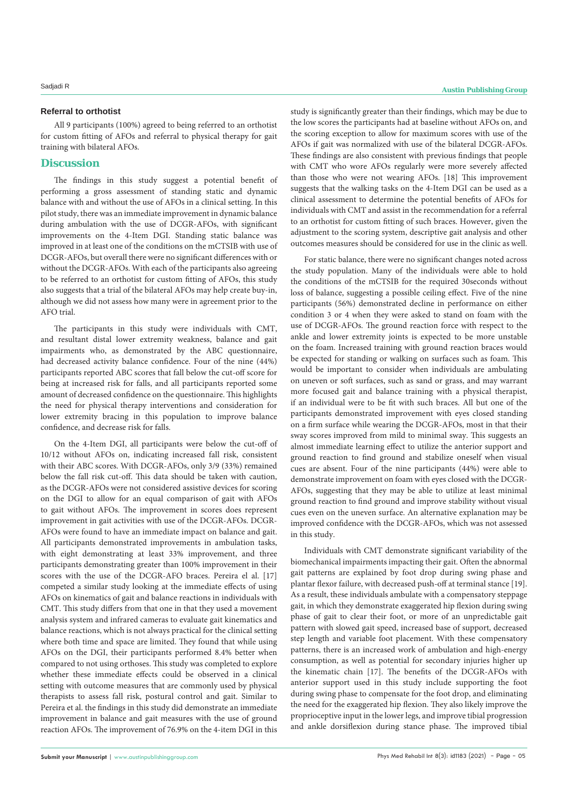#### **Referral to orthotist**

All 9 participants (100%) agreed to being referred to an orthotist for custom fitting of AFOs and referral to physical therapy for gait training with bilateral AFOs.

#### **Discussion**

The findings in this study suggest a potential benefit of performing a gross assessment of standing static and dynamic balance with and without the use of AFOs in a clinical setting. In this pilot study, there was an immediate improvement in dynamic balance during ambulation with the use of DCGR-AFOs, with significant improvements on the 4-Item DGI. Standing static balance was improved in at least one of the conditions on the mCTSIB with use of DCGR-AFOs, but overall there were no significant differences with or without the DCGR-AFOs. With each of the participants also agreeing to be referred to an orthotist for custom fitting of AFOs, this study also suggests that a trial of the bilateral AFOs may help create buy-in, although we did not assess how many were in agreement prior to the AFO trial.

The participants in this study were individuals with CMT, and resultant distal lower extremity weakness, balance and gait impairments who, as demonstrated by the ABC questionnaire, had decreased activity balance confidence. Four of the nine (44%) participants reported ABC scores that fall below the cut-off score for being at increased risk for falls, and all participants reported some amount of decreased confidence on the questionnaire. This highlights the need for physical therapy interventions and consideration for lower extremity bracing in this population to improve balance confidence, and decrease risk for falls.

On the 4-Item DGI, all participants were below the cut-off of 10/12 without AFOs on, indicating increased fall risk, consistent with their ABC scores. With DCGR-AFOs, only 3/9 (33%) remained below the fall risk cut-off. This data should be taken with caution, as the DCGR-AFOs were not considered assistive devices for scoring on the DGI to allow for an equal comparison of gait with AFOs to gait without AFOs. The improvement in scores does represent improvement in gait activities with use of the DCGR-AFOs. DCGR-AFOs were found to have an immediate impact on balance and gait. All participants demonstrated improvements in ambulation tasks, with eight demonstrating at least 33% improvement, and three participants demonstrating greater than 100% improvement in their scores with the use of the DCGR-AFO braces. Pereira el al. [17] competed a similar study looking at the immediate effects of using AFOs on kinematics of gait and balance reactions in individuals with CMT. This study differs from that one in that they used a movement analysis system and infrared cameras to evaluate gait kinematics and balance reactions, which is not always practical for the clinical setting where both time and space are limited. They found that while using AFOs on the DGI, their participants performed 8.4% better when compared to not using orthoses. This study was completed to explore whether these immediate effects could be observed in a clinical setting with outcome measures that are commonly used by physical therapists to assess fall risk, postural control and gait. Similar to Pereira et al. the findings in this study did demonstrate an immediate improvement in balance and gait measures with the use of ground reaction AFOs. The improvement of 76.9% on the 4-item DGI in this

study is significantly greater than their findings, which may be due to the low scores the participants had at baseline without AFOs on, and the scoring exception to allow for maximum scores with use of the AFOs if gait was normalized with use of the bilateral DCGR-AFOs. These findings are also consistent with previous findings that people with CMT who wore AFOs regularly were more severely affected than those who were not wearing AFOs. [18] This improvement suggests that the walking tasks on the 4-Item DGI can be used as a clinical assessment to determine the potential benefits of AFOs for individuals with CMT and assist in the recommendation for a referral to an orthotist for custom fitting of such braces. However, given the adjustment to the scoring system, descriptive gait analysis and other outcomes measures should be considered for use in the clinic as well.

For static balance, there were no significant changes noted across the study population. Many of the individuals were able to hold the conditions of the mCTSIB for the required 30seconds without loss of balance, suggesting a possible ceiling effect. Five of the nine participants (56%) demonstrated decline in performance on either condition 3 or 4 when they were asked to stand on foam with the use of DCGR-AFOs. The ground reaction force with respect to the ankle and lower extremity joints is expected to be more unstable on the foam. Increased training with ground reaction braces would be expected for standing or walking on surfaces such as foam. This would be important to consider when individuals are ambulating on uneven or soft surfaces, such as sand or grass, and may warrant more focused gait and balance training with a physical therapist, if an individual were to be fit with such braces. All but one of the participants demonstrated improvement with eyes closed standing on a firm surface while wearing the DCGR-AFOs, most in that their sway scores improved from mild to minimal sway. This suggests an almost immediate learning effect to utilize the anterior support and ground reaction to find ground and stabilize oneself when visual cues are absent. Four of the nine participants (44%) were able to demonstrate improvement on foam with eyes closed with the DCGR-AFOs, suggesting that they may be able to utilize at least minimal ground reaction to find ground and improve stability without visual cues even on the uneven surface. An alternative explanation may be improved confidence with the DCGR-AFOs, which was not assessed in this study.

Individuals with CMT demonstrate significant variability of the biomechanical impairments impacting their gait. Often the abnormal gait patterns are explained by foot drop during swing phase and plantar flexor failure, with decreased push-off at terminal stance [19]. As a result, these individuals ambulate with a compensatory steppage gait, in which they demonstrate exaggerated hip flexion during swing phase of gait to clear their foot, or more of an unpredictable gait pattern with slowed gait speed, increased base of support, decreased step length and variable foot placement. With these compensatory patterns, there is an increased work of ambulation and high-energy consumption, as well as potential for secondary injuries higher up the kinematic chain [17]. The benefits of the DCGR-AFOs with anterior support used in this study include supporting the foot during swing phase to compensate for the foot drop, and eliminating the need for the exaggerated hip flexion. They also likely improve the proprioceptive input in the lower legs, and improve tibial progression and ankle dorsiflexion during stance phase. The improved tibial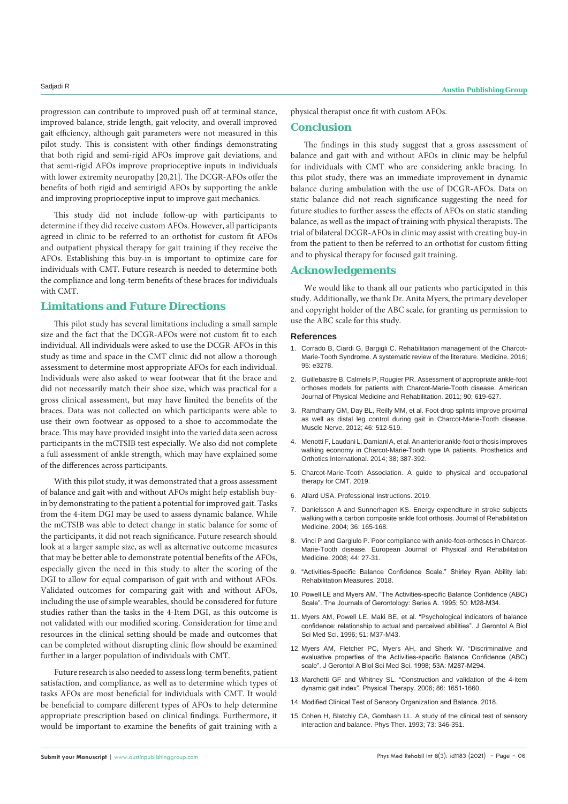progression can contribute to improved push off at terminal stance, improved balance, stride length, gait velocity, and overall improved gait efficiency, although gait parameters were not measured in this pilot study. This is consistent with other findings demonstrating that both rigid and semi-rigid AFOs improve gait deviations, and that semi-rigid AFOs improve proprioceptive inputs in individuals with lower extremity neuropathy [20,21]. The DCGR-AFOs offer the benefits of both rigid and semirigid AFOs by supporting the ankle and improving proprioceptive input to improve gait mechanics.

This study did not include follow-up with participants to determine if they did receive custom AFOs. However, all participants agreed in clinic to be referred to an orthotist for custom fit AFOs and outpatient physical therapy for gait training if they receive the AFOs. Establishing this buy-in is important to optimize care for individuals with CMT. Future research is needed to determine both the compliance and long-term benefits of these braces for individuals with CMT.

#### **Limitations and Future Directions**

This pilot study has several limitations including a small sample size and the fact that the DCGR-AFOs were not custom fit to each individual. All individuals were asked to use the DCGR-AFOs in this study as time and space in the CMT clinic did not allow a thorough assessment to determine most appropriate AFOs for each individual. Individuals were also asked to wear footwear that fit the brace and did not necessarily match their shoe size, which was practical for a gross clinical assessment, but may have limited the benefits of the braces. Data was not collected on which participants were able to use their own footwear as opposed to a shoe to accommodate the brace. This may have provided insight into the varied data seen across participants in the mCTSIB test especially. We also did not complete a full assessment of ankle strength, which may have explained some of the differences across participants.

With this pilot study, it was demonstrated that a gross assessment of balance and gait with and without AFOs might help establish buyin by demonstrating to the patient a potential for improved gait. Tasks from the 4-item DGI may be used to assess dynamic balance. While the mCTSIB was able to detect change in static balance for some of the participants, it did not reach significance. Future research should look at a larger sample size, as well as alternative outcome measures that may be better able to demonstrate potential benefits of the AFOs, especially given the need in this study to alter the scoring of the DGI to allow for equal comparison of gait with and without AFOs. Validated outcomes for comparing gait with and without AFOs, including the use of simple wearables, should be considered for future studies rather than the tasks in the 4-Item DGI, as this outcome is not validated with our modified scoring. Consideration for time and resources in the clinical setting should be made and outcomes that can be completed without disrupting clinic flow should be examined further in a larger population of individuals with CMT.

Future research is also needed to assess long-term benefits, patient satisfaction, and compliance, as well as to determine which types of tasks AFOs are most beneficial for individuals with CMT. It would be beneficial to compare different types of AFOs to help determine appropriate prescription based on clinical findings. Furthermore, it would be important to examine the benefits of gait training with a physical therapist once fit with custom AFOs.

#### **Conclusion**

The findings in this study suggest that a gross assessment of balance and gait with and without AFOs in clinic may be helpful for individuals with CMT who are considering ankle bracing. In this pilot study, there was an immediate improvement in dynamic balance during ambulation with the use of DCGR-AFOs. Data on static balance did not reach significance suggesting the need for future studies to further assess the effects of AFOs on static standing balance, as well as the impact of training with physical therapists. The trial of bilateral DCGR-AFOs in clinic may assist with creating buy-in from the patient to then be referred to an orthotist for custom fitting and to physical therapy for focused gait training.

#### **Acknowledgements**

We would like to thank all our patients who participated in this study. Additionally, we thank Dr. Anita Myers, the primary developer and copyright holder of the ABC scale, for granting us permission to use the ABC scale for this study.

#### **References**

- 1. [Corrado B, Ciardi G, Bargigli C. Rehabilitation management of the Charcot-](https://pubmed.ncbi.nlm.nih.gov/27124017/)[Marie-Tooth Syndrome. A systematic review of the literature. Medicine. 2016;](https://pubmed.ncbi.nlm.nih.gov/27124017/)  [95: e3278.](https://pubmed.ncbi.nlm.nih.gov/27124017/)
- 2. [Guillebastre B, Calmels P, Rougier PR. Assessment of appropriate ankle-foot](https://pubmed.ncbi.nlm.nih.gov/21681059/)  [orthoses models for patients with Charcot-Marie-Tooth disease. American](https://pubmed.ncbi.nlm.nih.gov/21681059/)  [Journal of Physical Medicine and Rehabilitation. 2011; 90; 619-627.](https://pubmed.ncbi.nlm.nih.gov/21681059/)
- 3. Ramdharry GM, Day BL, Reilly MM, et al. Foot drop splints improve proximal as well as distal leg control during gait in Charcot-Marie-Tooth disease. Muscle Nerve. 2012; 46: 512-519.
- 4. [Menotti F, Laudani L, Damiani A, et al. An anterior ankle-foot orthosis improves](https://pubmed.ncbi.nlm.nih.gov/24100074/)  [walking economy in Charcot-Marie-Tooth type IA patients. Prosthetics and](https://pubmed.ncbi.nlm.nih.gov/24100074/)  [Orthotics International. 2014; 38; 387-392.](https://pubmed.ncbi.nlm.nih.gov/24100074/)
- 5. [Charcot-Marie-Tooth Association. A guide to physical and occupational](Available online at on February 1,)  [therapy for CMT. 2019.](Available online at on February 1,)
- 6. [Allard USA. Professional Instructions. 2019.](https://www.allardusa.com/media/catalog/product/5632-allardafo-professional-instructions.pdf)
- 7. [Danielsson A and Sunnerhagen KS. Energy expenditure in stroke subjects](https://pubmed.ncbi.nlm.nih.gov/15370732/)  [walking with a carbon composite ankle foot orthosis. Journal of Rehabilitation](https://pubmed.ncbi.nlm.nih.gov/15370732/)  [Medicine. 2004; 36: 165-168.](https://pubmed.ncbi.nlm.nih.gov/15370732/)
- 8. [Vinci P and Gargiulo P. Poor compliance with ankle-foot-orthoses in Charcot-](https://pubmed.ncbi.nlm.nih.gov/18385625/)[Marie-Tooth disease. European Journal of Physical and Rehabilitation](https://pubmed.ncbi.nlm.nih.gov/18385625/)  [Medicine. 2008; 44: 27-31.](https://pubmed.ncbi.nlm.nih.gov/18385625/)
- 9. "Activities-Specific Balance Confidence Scale." Shirley Ryan Ability lab: Rehabilitation Measures. 2018.
- 10. [Powell LE and Myers AM. "The Activities-specific Balance Confidence \(ABC\)](https://academic.oup.com/biomedgerontology/article-abstract/50A/1/M28/616764)  [Scale". The Journals of Gerontology: Series A. 1995; 50: M28-M34.](https://academic.oup.com/biomedgerontology/article-abstract/50A/1/M28/616764)
- 11. [Myers AM, Powell LE, Maki BE, et al. "Psychological indicators of balance](https://pubmed.ncbi.nlm.nih.gov/8548512/)  [confidence: relationship to actual and perceived abilities". J Gerontol A Biol](https://pubmed.ncbi.nlm.nih.gov/8548512/)  [Sci Med Sci. 1996; 51: M37-M43.](https://pubmed.ncbi.nlm.nih.gov/8548512/)
- 12. [Myers AM, Fletcher PC, Myers AH, and Sherk W. "Discriminative and](https://pubmed.ncbi.nlm.nih.gov/18314568/)  [evaluative properties of the Activities-specific Balance Confidence \(ABC\)](https://pubmed.ncbi.nlm.nih.gov/18314568/)  [scale". J Gerontol A Biol Sci Med Sci. 1998; 53A: M287-M294.](https://pubmed.ncbi.nlm.nih.gov/18314568/)
- 13. [Marchetti GF and Whitney SL. "Construction and validation of the 4-item](https://pubmed.ncbi.nlm.nih.gov/17062644/)  [dynamic gait index". Physical Therapy. 2006; 86: 1651-1660.](https://pubmed.ncbi.nlm.nih.gov/17062644/)
- 14. [Modified Clinical Test of Sensory Organization and Balance. 2018.](Available online at. May)
- 15. [Cohen H, Blatchly CA, Gombash LL. A study of the clinical test of sensory](https://pubmed.ncbi.nlm.nih.gov/8497509/)  [interaction and balance. Phys Ther. 1993; 73: 346-351.](https://pubmed.ncbi.nlm.nih.gov/8497509/)